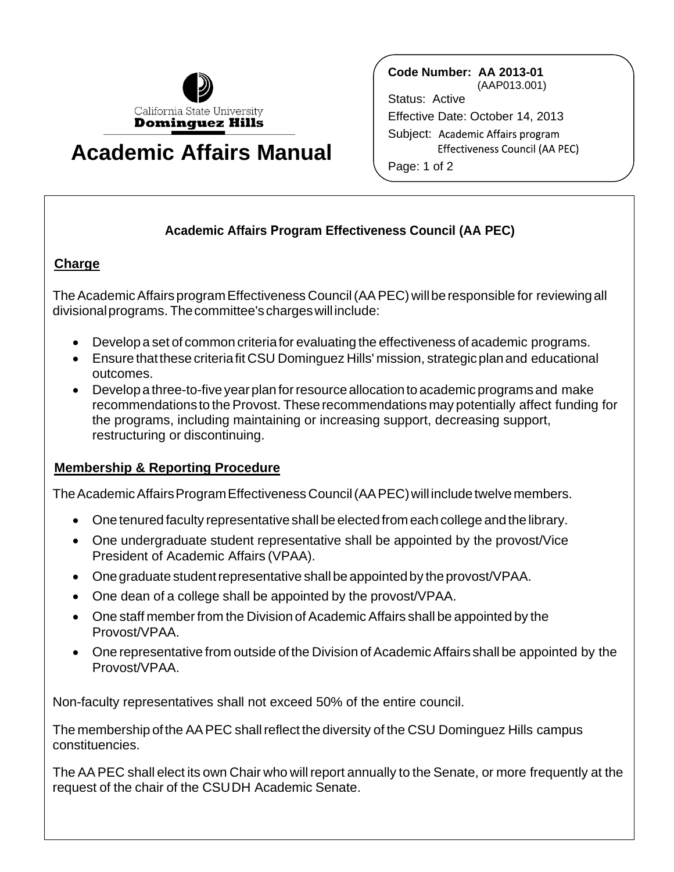

## **Academic Affairs Manual**

**Code Number: AA 2013-01** (AAP013.001) Status: Active Effective Date: October 14, 2013 Subject: Academic Affairs program Effectiveness Council (AA PEC) Page: 1 of 2

## **Academic Affairs Program Effectiveness Council (AA PEC)**

## **Charge**

The Academic Affairs program Effectiveness Council (AA PEC) will be responsible for reviewing all divisionalprograms. Thecommittee's chargeswill include:

- Develop a set of common criteria for evaluating the effectiveness of academic programs.
- Ensure thatthese criteriafit CSU Dominguez Hills' mission, strategicplan and educational outcomes.
- Develop a three-to-five yearplan forresource allocation to academic programs and make recommendationsto theProvost. These recommendations may potentially affect funding for the programs, including maintaining or increasing support, decreasing support, restructuring or discontinuing.

## **Membership & Reporting Procedure**

The Academic Affairs Program Effectiveness Council (AA PEC) will include twelve members.

- One tenured faculty representative shall be elected from each college and the library.
- One undergraduate student representative shall be appointed by the provost/Vice President of Academic Affairs (VPAA).
- Onegraduate student representative shall be appointed by the provost/VPAA.
- One dean of a college shall be appointed by the provost/VPAA.
- One staff member from the Division of Academic Affairs shall be appointed by the Provost/VPAA.
- One representative from outside of the Division of Academic Affairs shall be appointed by the Provost/VPAA.

Non-faculty representatives shall not exceed 50% of the entire council.

The membership ofthe AAPEC shall reflect the diversity of the CSU Dominguez Hills campus constituencies.

The AA PEC shall elect its own Chair who will report annually to the Senate, or more frequently at the request of the chair of the CSUDH Academic Senate.